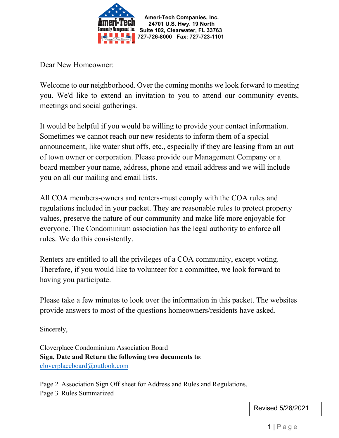

Dear New Homeowner:

Welcome to our neighborhood. Over the coming months we look forward to meeting you. We'd like to extend an invitation to you to attend our community events, meetings and social gatherings.

It would be helpful if you would be willing to provide your contact information. Sometimes we cannot reach our new residents to inform them of a special announcement, like water shut offs, etc., especially if they are leasing from an out of town owner or corporation. Please provide our Management Company or a board member your name, address, phone and email address and we will include you on all our mailing and email lists.

All COA members-owners and renters-must comply with the COA rules and regulations included in your packet. They are reasonable rules to protect property values, preserve the nature of our community and make life more enjoyable for everyone. The Condominium association has the legal authority to enforce all rules. We do this consistently.

Renters are entitled to all the privileges of a COA community, except voting. Therefore, if you would like to volunteer for a committee, we look forward to having you participate.

Please take a few minutes to look over the information in this packet. The websites provide answers to most of the questions homeowners/residents have asked.

Sincerely,

Cloverplace Condominium Association Board **Sign, Date and Return the following two documents to**: [cloverplaceboard@outlook.com](mailto:cloverplaceboard@outlook.com)

Page 2 Association Sign Off sheet for Address and Rules and Regulations. Page 3 Rules Summarized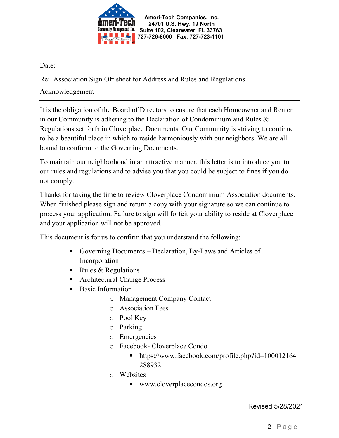

Date:

Re: Association Sign Off sheet for Address and Rules and Regulations

Acknowledgement

It is the obligation of the Board of Directors to ensure that each Homeowner and Renter in our Community is adhering to the Declaration of Condominium and Rules & Regulations set forth in Cloverplace Documents. Our Community is striving to continue to be a beautiful place in which to reside harmoniously with our neighbors. We are all bound to conform to the Governing Documents.

To maintain our neighborhood in an attractive manner, this letter is to introduce you to our rules and regulations and to advise you that you could be subject to fines if you do not comply.

Thanks for taking the time to review Cloverplace Condominium Association documents. When finished please sign and return a copy with your signature so we can continue to process your application. Failure to sign will forfeit your ability to reside at Cloverplace and your application will not be approved.

This document is for us to confirm that you understand the following:

- Governing Documents Declaration, By-Laws and Articles of Incorporation
- Rules & Regulations
- Architectural Change Process
- **Basic Information** 
	- o Management Company Contact
	- o Association Fees
	- o Pool Key
	- o Parking
	- o Emergencies
	- o Facebook- Cloverplace Condo
		- https://www.facebook.com/profile.php?id=100012164 288932
	- o Websites
		- www.cloverplacecondos.org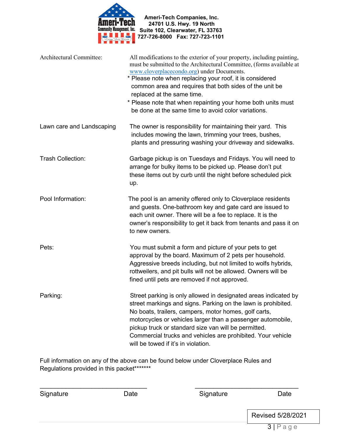

| <b>Architectural Committee:</b> | All modifications to the exterior of your property, including painting,<br>must be submitted to the Architectural Committee, (forms available at<br>www.cloverplacecondo.org) under Documents.<br>* Please note when replacing your roof, it is considered<br>common area and requires that both sides of the unit be<br>replaced at the same time.<br>* Please note that when repainting your home both units must<br>be done at the same time to avoid color variations. |
|---------------------------------|----------------------------------------------------------------------------------------------------------------------------------------------------------------------------------------------------------------------------------------------------------------------------------------------------------------------------------------------------------------------------------------------------------------------------------------------------------------------------|
| Lawn care and Landscaping       | The owner is responsibility for maintaining their yard. This<br>includes mowing the lawn, trimming your trees, bushes,<br>plants and pressuring washing your driveway and sidewalks.                                                                                                                                                                                                                                                                                       |
| <b>Trash Collection:</b>        | Garbage pickup is on Tuesdays and Fridays. You will need to<br>arrange for bulky items to be picked up. Please don't put<br>these items out by curb until the night before scheduled pick<br>up.                                                                                                                                                                                                                                                                           |
| Pool Information:               | The pool is an amenity offered only to Cloverplace residents<br>and guests. One-bathroom key and gate card are issued to<br>each unit owner. There will be a fee to replace. It is the<br>owner's responsibility to get it back from tenants and pass it on<br>to new owners.                                                                                                                                                                                              |
| Pets:                           | You must submit a form and picture of your pets to get<br>approval by the board. Maximum of 2 pets per household.<br>Aggressive breeds including, but not limited to wolfs hybrids,<br>rottweilers, and pit bulls will not be allowed. Owners will be<br>fined until pets are removed if not approved.                                                                                                                                                                     |
| Parking:                        | Street parking is only allowed in designated areas indicated by<br>street markings and signs. Parking on the lawn is prohibited.<br>No boats, trailers, campers, motor homes, golf carts,<br>motorcycles or vehicles larger than a passenger automobile,<br>pickup truck or standard size van will be permitted.<br>Commercial trucks and vehicles are prohibited. Your vehicle<br>will be towed if it's in violation.                                                     |

Full information on any of the above can be found below under Cloverplace Rules and Regulations provided in this packet\*\*\*\*\*\*\*

| Signature | Date | Signature | Date              |
|-----------|------|-----------|-------------------|
|           |      |           | Revised 5/28/2021 |
|           |      |           | 3 Page            |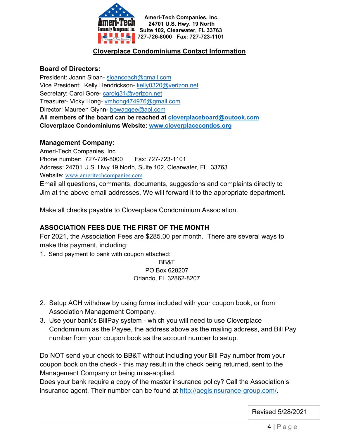

## **Cloverplace Condominiums Contact Information**

#### **Board of Directors:**

President: Joann Sloan- [sloancoach@gmail.com](mailto:sloancoach@gmail.com) Vice President: Kelly Hendrickson- [kelly0320@verizon.net](mailto:kelly0320@verizon.net) Secretary: Carol Gore-carolg31@verizon.net Treasurer- Vicky Hong- [vmhong474976@gmail.com](mailto:vmhong474976@gmail.com) Director: Maureen Glynn- [bowaggee@aol.com](mailto:bowaggee@aol.com) **All members of the board can be reached at [cloverplaceboard@outook.com](mailto:cloverplaceboard@outook.com) Cloverplace Condominiums Website: [www.cloverplacecondos.org](http://www.cloverplacecondos.org/)**

#### **Management Company:**

Ameri-Tech Companies, Inc. Phone number: 727-726-8000 Fax: 727-723-1101 Address: 24701 U.S. Hwy [19 North, Suite 102](mailto:sjarboe@ameritechmail.com), Clearwater, FL 33763 Website: www.ameritechcompanies.com Email all questions, comments, documents, suggestions and complaints directly to Jim at the above email addresses. We will forward it to the appropriate department.

Make all checks payable to Cloverplace Condominium Association.

### **ASSOCIATION FEES DUE THE FIRST OF THE MONTH**

For 2021, the Association Fees are \$285.00 per month. There are several ways to make this payment, including:

1. Send payment to bank with coupon attached:

BB&T PO Box 628207 Orlando, FL 32862-8207

- 2. Setup ACH withdraw by using forms included with your coupon book, or from Association Management Company.
- 3. Use your bank's BillPay system which you will need to use Cloverplace Condominium as the Payee, the address above as the mailing address, and Bill Pay number from your coupon book as the account number to setup.

Do NOT send your check to BB&T without including your Bill Pay number from your coupon book on the check - this may result in the check being returned, sent to the Management Company or being miss-applied.

Does your bank require a copy of the master insurance policy? Call the Association's insurance agent. Their number can be found at [http://aegisinsurance-group.com/.](http://aegisinsurance-group.com/)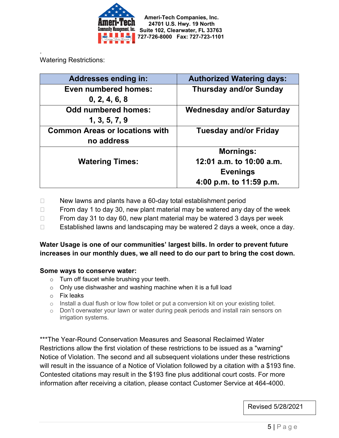

Watering Restrictions:

.

| <b>Addresses ending in:</b>           | <b>Authorized Watering days:</b> |  |
|---------------------------------------|----------------------------------|--|
| Even numbered homes:                  | <b>Thursday and/or Sunday</b>    |  |
| 0, 2, 4, 6, 8                         |                                  |  |
| <b>Odd numbered homes:</b>            | <b>Wednesday and/or Saturday</b> |  |
| 1, 3, 5, 7, 9                         |                                  |  |
| <b>Common Areas or locations with</b> | <b>Tuesday and/or Friday</b>     |  |
| no address                            |                                  |  |
|                                       | <b>Mornings:</b>                 |  |
| <b>Watering Times:</b>                | 12:01 a.m. to 10:00 a.m.         |  |
|                                       | <b>Evenings</b>                  |  |
|                                       | 4:00 p.m. to 11:59 p.m.          |  |

- $\Box$  New lawns and plants have a 60-day total establishment period
- $\Box$  From day 1 to day 30, new plant material may be watered any day of the week
- $\Box$  From day 31 to day 60, new plant material may be watered 3 days per week
- □ Established lawns and landscaping may be watered 2 days a week, once a day.

### **Water Usage is one of our communities' largest bills. In order to prevent future increases in our monthly dues, we all need to do our part to bring the cost down.**

#### **Some ways to conserve water:**

- o Turn off faucet while brushing your teeth.
- $\circ$  Only use dishwasher and washing machine when it is a full load
- o Fix leaks
- $\circ$  Install a dual flush or low flow toilet or put a conversion kit on your existing toilet.
- $\circ$  Don't overwater your lawn or water during peak periods and install rain sensors on irrigation systems.

\*\*\*The Year-Round Conservation Measures and Seasonal Reclaimed Water Restrictions allow the first violation of these restrictions to be issued as a "warning" Notice of Violation. The second and all subsequent violations under these restrictions will result in the issuance of a Notice of Violation followed by a citation with a \$193 fine. Contested citations may result in the \$193 fine plus additional court costs. For more information after receiving a citation, please contact Customer Service at 464-4000.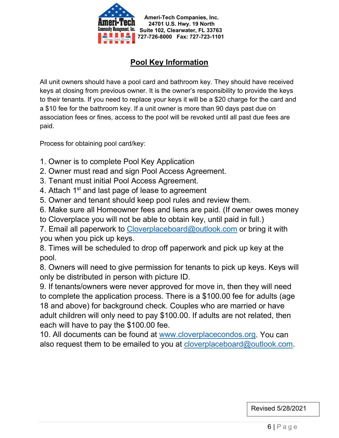

# **Pool Key Information**

All unit owners should have a pool card and bathroom key. They should have received keys at closing from previous owner. It is the owner's responsibility to provide the keys to their tenants. If you need to replace your keys it will be a \$20 charge for the card and a \$10 fee for the bathroom key. If a unit owner is more than 90 days past due on association fees or fines, access to the pool will be revoked until all past due fees are paid.

Process for obtaining pool card/key:

- 1. Owner is to complete Pool Key Application
- 2. Owner must read and sign Pool Access Agreement.
- 3. Tenant must initial Pool Access Agreement.
- 4. Attach 1<sup>st</sup> and last page of lease to agreement
- 5. Owner and tenant should keep pool rules and review them.

6. Make sure all Homeowner fees and liens are paid. (If owner owes money

to Cloverplace you will not be able to obtain key, until paid in full.)

7. Email all paperwork to [Cloverplaceboard@outlook.com](mailto:Cloverplaceboard@outlook.com) or bring it with you when you pick up keys.

8. Times will be scheduled to drop off paperwork and pick up key at the pool.

8. Owners will need to give permission for tenants to pick up keys. Keys will only be distributed in person with picture ID.

9. If tenants/owners were never approved for move in, then they will need to complete the application process. There is a \$100.00 fee for adults (age 18 and above) for background check. Couples who are married or have adult children will only need to pay \$100.00. If adults are not related, then each will have to pay the \$100.00 fee.

10. All documents can be found at [www.cloverplacecondos.org.](http://www.cloverplacecondos.org/) You can also request them to be emailed to you at [cloverplaceboard@outlook.com.](mailto:cloverplaceboard@outlook.com)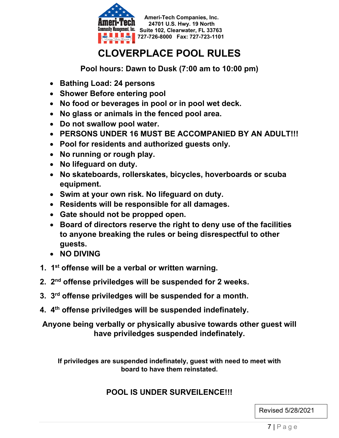

# **CLOVERPLACE POOL RULES**

**Pool hours: Dawn to Dusk (7:00 am to 10:00 pm)**

- **Bathing Load: 24 persons**
- **Shower Before entering pool**
- **No food or beverages in pool or in pool wet deck.**
- **No glass or animals in the fenced pool area.**
- **Do not swallow pool water.**
- **PERSONS UNDER 16 MUST BE ACCOMPANIED BY AN ADULT!!!**
- **Pool for residents and authorized guests only.**
- **No running or rough play.**
- **No lifeguard on duty.**
- **No skateboards, rollerskates, bicycles, hoverboards or scuba equipment.**
- **Swim at your own risk. No lifeguard on duty.**
- **Residents will be responsible for all damages.**
- **Gate should not be propped open.**
- **Board of directors reserve the right to deny use of the facilities to anyone breaking the rules or being disrespectful to other guests.**
- **NO DIVING**
- **1. 1st offense will be a verbal or written warning.**
- **2. 2nd offense priviledges will be suspended for 2 weeks.**
- **3. 3rd offense priviledges will be suspended for a month.**
- **4. 4th offense priviledges will be suspended indefinately.**

**Anyone being verbally or physically abusive towards other guest will have priviledges suspended indefinately.**

**If priviledges are suspended indefinately, guest with need to meet with board to have them reinstated.**

## **POOL IS UNDER SURVEILENCE!!!**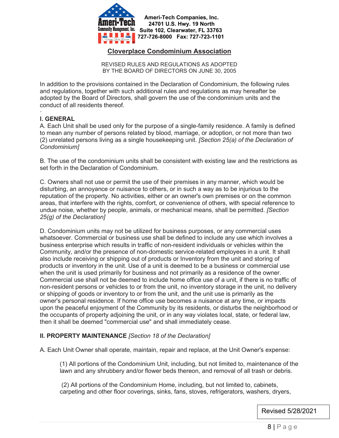

#### **Cloverplace Condominium Association**

REVISED RULES AND REGULATIONS AS ADOPTED BY THE BOARD OF DIRECTORS ON JUNE 30, 2005

In addition to the provisions contained in the Declaration of Condominium, the following rules and regulations, together with such additional rules and regulations as may hereafter be adopted by the Board of Directors, shall govern the use of the condominium units and the conduct of all residents thereof.

#### · **l. GENERAL**

A. Each Unit shall be used only for the purpose of a single-family residence. A family is defined to mean any number of persons related by blood, marriage, or adoption, or not more than two (2) unrelated persons living as a single housekeeping unit. *[Section 25(a) of the Declaration of Condominium]*

B. The use of the condominium units shall be consistent with existing law and the restrictions as set forth in the Declaration of Condominium.

C. Owners shall not use or permit the use of their premises in any manner, which would be disturbing, an annoyance or nuisance to others, or in such a way as to be injurious to the reputation of the property. No activities, either or an owner's own premises or on the common areas, that interfere with the rights, comfort, or convenience of others, with special reference to undue noise, whether by people, animals, or mechanical means, shall be permitted. *[Section 25(g) of the Declaration]*

D. Condominium units may not be utilized for business purposes, or any commercial uses whatsoever. Commercial or business use shall be defined to include any use which involves a business enterprise which results in traffic of non-resident individuals or vehicles within the Community, and/or the presence of non-domestic service-related employees in a unit. It shall also include receiving or shipping out of products or Inventory from the unit and storing of products or inventory in the unit. Use of a unit is deemed to be a business or commercial use when the unit is used primarily for business and not primarily as a residence of the owner. Commercial use shall not be deemed to include home office use of a unit, if there is no traffic of non-resident persons or vehicles to or from the unit, no inventory storage in the unit, no delivery or shipping of goods or inventory to or from the unit, and the unit use is primarily as the owner's personal residence. If home office use becomes a nuisance at any time, or impacts upon the peaceful enjoyment of the Community by its residents, or disturbs the neighborhood or the occupants of property adjoining the unit, or in any way violates local, state, or federal law, then it shall be deemed "commercial use" and shall immediately cease.

#### **II. PROPERTY MAINTENANCE** *[Section 18 of the Declaration]*

A. Each Unit Owner shall operate, maintain, repair and replace, at the Unit Owner's expense:

(1) All portions of the Condominium Unit, including, but not limited to, maintenance of the lawn and any shrubbery and/or flower beds thereon, and removal of all trash or debris.

(2) All portions of the Condominium Home, including, but not limited to, cabinets, carpeting and other floor coverings, sinks, fans, stoves, refrigerators, washers, dryers,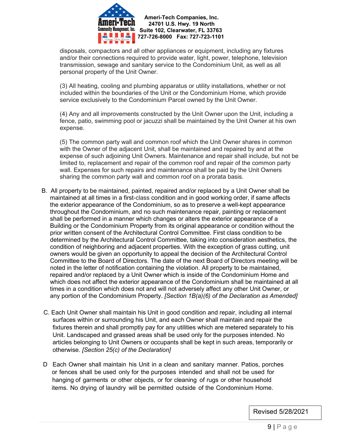

disposals, compactors and all other appliances or equipment, including any fixtures and/or their connections required to provide water, light, power, telephone, television transmission, sewage and sanitary service to the Condominium Unit, as well as all personal property of the Unit Owner.

(3) All heating, cooling and plumbing apparatus or utility installations, whether or not included within the boundaries of the Unit or the Condominium Home, which provide service exclusively to the Condominium Parcel owned by the Unit Owner.

(4) Any and all improvements constructed by the Unit Owner upon the Unit, including a fence, patio, swimming pool or jacuzzi shall be maintained by the Unit Owner at his own expense.

(5) The common party wall and common roof which the Unit Owner shares in common with the Owner of the adjacent Unit, shall be maintained and repaired by and at the expense of such adjoining Unit Owners. Maintenance and repair shall include, but not be limited to, replacement and repair of the common roof and repair of the common party wall. Expenses for such repairs and maintenance shall be paid by the Unit Owners sharing the common party wall and common roof on a prorata basis.

- B. All property to be maintained, painted, repaired and/or replaced by a Unit Owner shall be maintained at all times in a first-class condition and in good working order, if same affects the exterior appearance of the Condominium, so as to preserve a well-kept appearance throughout the Condominium, and no such maintenance repair, painting or replacement shall be performed in a manner which changes or alters the exterior appearance of a Building or the Condominium Property from its original appearance or condition without the prior written consent of the Architectural Control Committee. First class condition to be determined by the Architectural Control Committee, taking into consideration aesthetics, the condition of neighboring and adjacent properties. With the exception of grass cutting, unit owners would be given an opportunity to appeal the decision of the Architectural Control Committee to the Board of Directors. The date of the next Board of Directors meeting will be noted in the letter of notification containing the violation. All property to be maintained, repaired and/or replaced by a Unit Owner which is inside of the Condominium Home and which does not affect the exterior appearance of the Condominium shall be maintained at all times in a condition which does not and will not adversely affect any other Unit Owner, or any portion of the Condominium Property. *[Section 1B(a)(6) of the Declaration as Amended]*
- C. Each Unit Owner shall maintain his Unit in good condition and repair, including all internal surfaces within or surrounding his Unit, and each Owner shall maintain and repair the fixtures therein and shall promptly pay for any utilities which are metered separately to his Unit. Landscaped and grassed areas shall be used only for the purposes intended. No articles belonging to Unit Owners or occupants shall be kept in such areas, temporarily or otherwise. *[Section 25(c) of the Declaration]*
- D Each Owner shall maintain his Unit in a clean and sanitary manner. Patios, porches or fences shall be used only for the purposes intended and shall not be used for hanging of garments or other objects, or for cleaning of rugs or other household items. No drying of laundry will be permitted outside of the Condominium Home.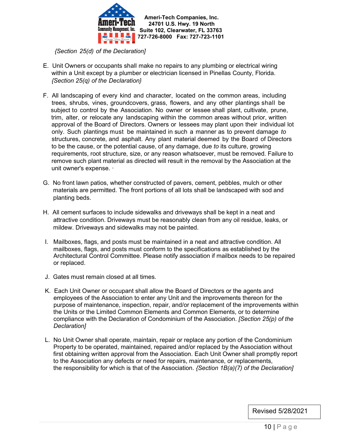

*{Section 25(d) of the Declaration]*

- E. Unit Owners or occupants shall make no repairs to any plumbing or electrical wiring within a Unit except by a plumber or electrician licensed in Pinellas County, Florida. *{Section 25(q) of the Declaration}*
- F. All landscaping of every kind and character, located on the common areas, including trees, shrubs, vines, groundcovers, grass, flowers, and any other plantings shall be subject to control by the Association. No owner or lessee shall plant, cultivate, prune, trim, alter, or relocate any landscaping within the common areas without prior, written approval of the Board of Directors. Owners or lessees may plant upon their individual lot only. Such plantings must be maintained in such a manner as to prevent damage *to* structures, concrete, and asphalt. Any plant material deemed by the Board of Directors to be the cause, or the potential cause, of any damage, due *to* its culture, growing requirements, root structure, size, or any reason whatsoever, must be removed. Failure to remove such plant material as directed will result in the removal by the Association at the unit owner's expense. ·
- G. No front lawn patios, whether constructed of pavers, cement, pebbles, mulch or other materials are permitted. The front portions of all lots shall be landscaped with sod and planting beds.
- H. All cement surfaces to include sidewalks and driveways shall be kept in a neat and attractive condition. Driveways must be reasonably clean from any oil residue, leaks, or mildew. Driveways and sidewalks may not be painted.
- I. Mailboxes, flags, and posts must be maintained in a neat and attractive condition. All mailboxes, flags, and posts must conform to the specifications as established by the Architectural Control Committee. Please notify association if mailbox needs to be repaired or replaced.
- J. Gates must remain closed at all times.
- K. Each Unit Owner or occupant shall allow the Board of Directors or the agents and employees of the Association to enter any Unit and the improvements thereon for the purpose of maintenance, inspection, repair, and/or replacement of the improvements within the Units or the Limited Common Elements and Common Elements, or to determine compliance with the Declaration of Condominium of the Association. *[Section 25(p) of the Declaration]*
- L. No Unit Owner shall operate, maintain, repair or replace any portion of the Condominium Property to be operated, maintained, repaired and/or replaced by the Association without first obtaining written approval from the Association. Each Unit Owner shall promptly report to the Association any defects or need for repairs, maintenance, or replacements, the responsibility for which is that of the Association. *{Section 1B(a)(7) of the Declaration]*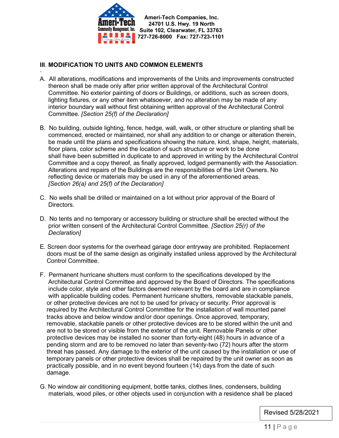

#### **III**. **MODIFICATION TO UNITS AND COMMON ELEMENTS**

- · A. All alterations, modifications and improvements of the Units and improvements constructed thereon shall be made only after prior written approval of the Architectural Control Committee. No exterior painting of doors or Buildings, or additions, such as screen doors, lighting fixtures, or any other item whatsoever, and no alteration may be made of any interior boundary wall without first obtaining written approval of the Architectural Control Committee. *[Section 25(f) of the Declaration]*
- B. No building, outside lighting, fence, hedge, wall, walk, or other structure or planting shall be commenced, erected or maintained, nor shall any addition to or change or alteration therein, be made until the plans and specifications showing the nature, kind, shape, height, materials, floor plans, color scheme and the location of such structure or work to be done shall have been submitted in duplicate to and approved in writing by the Architectural Control Committee and a copy thereof, as finally approved, lodged permanently with the Association. Alterations and repairs of the Buildings are the responsibilities of the Unit Owners. No reflecting device or materials may be used in any of the aforementioned areas. *[Section 26(a) and 25(f) of the Declaration]*
- C. No wells shall be drilled or maintained on a lot without prior approval of the Board of Directors.
- D. No tents and no temporary or accessory building or structure shall be erected without the prior written consent of the Architectural Control Committee. *[Section 25(r) of the Declaration]*
- E. Screen door systems for the overhead garage door entryway are prohibited. Replacement doors must be of the same design as originally installed unless approved by the Architectural Control Committee.
- F. Permanent hurricane shutters must conform to the specifications developed by the Architectural Control Committee and approved by the Board of Directors. The specifications include color, style and other factors deemed relevant by the board and are in compliance with applicable building codes. Permanent hurricane shutters, removable stackable panels, or other protective devices are not to be used for privacy or security. Prior approval is required by the Architectural Control Committee for the installation of wall mounted panel tracks above and below window and/or door openings. Once approved, temporary, removable, stackable panels or other protective devices are to be stored within the unit and are not to be stored or visible from the exterior of the unit. Removable Panels or other protective devices may be installed no sooner than forty-eight (48) hours in advance of a pending storm and are to be removed no later than seventy-two (72) hours after the storm threat has passed. Any damage to the exterior of the unit caused by the installation or use of temporary panels or other protective devices shall be repaired by the unit owner as soon as practically possible, and in no event beyond fourteen (14) days from the date of such damage.
- G. No window air conditioning equipment, bottle tanks, clothes lines, condensers, building materials, wood piles, or other objects used in conjunction with a residence shall be placed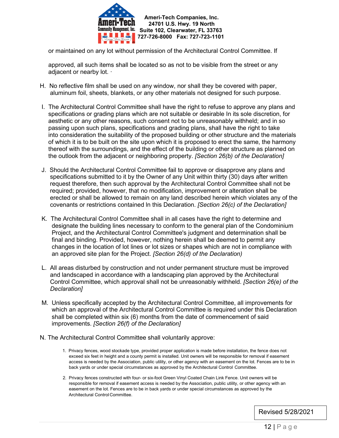

or maintained on any lot without permission of the Architectural Control Committee. If

 approved, all such items shall be located so as not to be visible from the street or any adjacent or nearby lot.  $\cdot$ 

- H. No reflective film shall be used on any window, nor shall they be covered with paper, aluminum foil, sheets, blankets, or any other materials not designed for such purpose.
- I. The Architectural Control Committee shall have the right to refuse to approve any plans and specifications or grading plans which are not suitable or desirable In its sole discretion, for aesthetic or any other reasons, such consent not to be unreasonably withheld; and in so passing upon such plans, specifications and grading plans, shall have the right to take into consideration the suitability of the proposed building or other structure and the materials of which it is to be built on the site upon which it is proposed to erect the same, the harmony thereof with the surroundings, and the effect of the building or other structure as planned on the outlook from the adjacent or neighboring property. *[Section 26(b) of the Declaration]*
- J. Should the Architectural Control Committee fail to approve or disapprove any plans and specifications submitted to it by the Owner of any Unit within thirty (30) days after written request therefore, then such approval by the Architectural Control Committee shall not be required; provided, however, that no modification, improvement or alteration shall be erected or shall be allowed to remain on any land described herein which violates any of the covenants or restrictions contained ln this Declaration. *[Section 26(c) of the Declaration]*
- K. The Architectural Control Committee shall in all cases have the right to determine and designate the building lines necessary to conform to the general plan of the Condominium Project, and the Architectural Control Committee's judgment and determination shall be final and binding. Provided, however, nothing herein shall be deemed to permit any changes in the location of lot lines or lot sizes or shapes which are not in compliance with an approved site plan for the Project. *[Section 26(d) of the Declaration)*
- L. All areas disturbed by construction and not under permanent structure must be improved and landscaped in accordance with a landscaping plan approved by the Architectural Control Committee, which approval shall not be unreasonably withheld. *[Section 26(e) of the Declaration]*
- M. Unless specifically accepted by the Architectural Control Committee, all improvements for which an approval of the Architectural Control Committee is required under this Declaration shall be completed within six (6) months from the date of commencement of said improvements. *[Section 26(f) of the Declaration]*
- N. The Architectural Control Committee shall voluntarily approve:
	- 1. Privacy fences, wood stockade type, provided proper application is made before installation, the fence does not exceed six feet in height and a county permit is installed. Unit owners will be responsible for removal if easement access is needed by the Association, public utility, or other agency with an easement on the lot. Fences are to be in back yards or under special circumstances as approved by the Architectural Control Committee.
	- 2. Privacy fences constructed with four- or six-foot Green Vinyl Coated Chain Link Fence. Unit owners will be responsible for removal if easement access is needed by the Association, public utility, or other agency with an easement on the lot. Fences are to be in back yards or under special circumstances as approved by the Architectural Control Committee.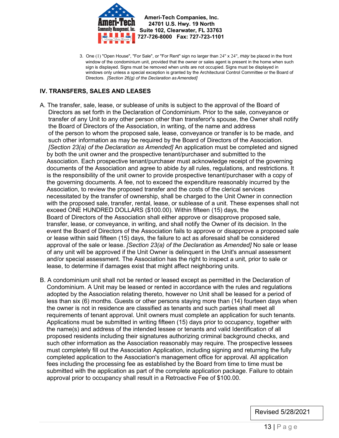

3. One (1) "Open House", "For Sale", or "For Rent" sign no larger than 24" x 24", *may* be placed in the front window of the condominium unit, provided that the owner or sales agent is present in the home when such sign is displayed. Signs must be removed when units are not occupied. Signs must be displayed in windows only unless a special exception is granted by the Architectural Control Committee or the Board of Directors. *[Section 26(g) of the Declaration asAmended]*

#### **IV. TRANSFERS, SALES AND LEASES**

- A. The transfer, sale, lease, or sublease of units is subject to the approval of the Board of Directors as set forth in the Declaration of Condominium. Prior to the sale, conveyance or transfer of any Unit to any other person other than transferor's spouse, the Owner shall notify the Board of Directors of the Association, in writing, of the name and address of the person to whom the proposed sale, lease, conveyance or transfer is to be made, and such other information as may be required by the Board of Directors of the Association. *[Section 23(a) of the Declaration as Amended]* An application must be completed and signed by both the unit owner and the prospective tenant/purchaser and submitted to the Association. Each prospective tenant/purchaser must acknowledge receipt of the governing documents of the Association and agree to abide *by* all rules, regulations, and restrictions. It is the responsibility of the unit owner to provide prospective tenant/purchaser with a copy of the governing documents. A fee, not to exceed the expenditure reasonably incurred by the Association, to review the proposed transfer and the costs of the clerical services necessitated by the transfer of ownership, shall be charged to the Unit Owner in connection with the proposed sale, transfer, rental, lease, or sublease of a unit. These expenses shall not exceed ONE HUNDRED DOLLARS (\$100.00). Within fifteen (15) days, the Board of Directors of the Association shall either approve or disapprove proposed sale, transfer, lease, or conveyance, in writing, and shall notify the Owner of its decision. In the event the Board of Directors of the Association fails to approve or disapprove a proposed sale or lease within said fifteen (15) days, the failure to act as aforesaid shall be considered approval of the sale or lease. *[Section 23(a) of the Declaration* as *Amended]* No sale or lease of any unit will be approved if the Unit Owner is delinquent in the Unit's annual assessment and/or special assessment. The Association has the right to inspect a unit, prior to sale or lease, to determine if damages exist that might affect neighboring units.
- B. A condominium unit shall not be rented or leased except as permitted in the Declaration of Condominium. A Unit may be leased or rented in accordance with the rules and regulations adopted by the Association relating thereto, however no Unit shall be leased for a period of less than six (6) months. Guests or other persons staying more than (14) fourteen days when the owner is not in residence are classified as tenants and such parties shall meet all requirements of tenant approval. Unit owners must complete an application for such tenants. Applications must be submitted in writing fifteen (15) days prior to occupancy, together with the name(s) and address of the intended lessee or tenants and valid Identification of all proposed residents including their signatures authorizing criminal background checks, and such other information as the Association reasonably may require. The prospective lessees must completely fill out the Association Application, including signing and returning the fully completed application to the Association's management office for approval. All application fees including the processing fee as established by the Board from time to time must be submitted with the application as part of the complete application package. Failure to obtain approval prior to occupancy shall result in a Retroactive Fee of \$100.00.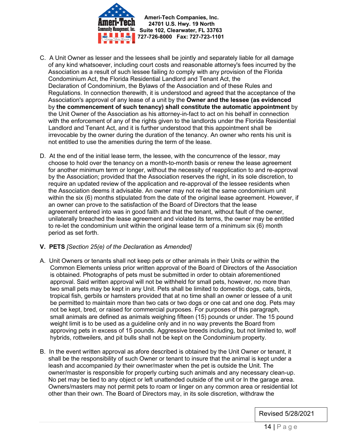

 **Ameri-Tech Companies, Inc. 24701 U.S. Hwy. 19 North Community Management, Inc. Suite 102, Clearwater, FL 33763 727-726-8000 Fax: 727-723-1101**

- C. A Unit Owner as lesser and the lessees shall be jointly and separately liable for all damage of any kind whatsoever, including court costs and reasonable attorney's fees incurred by the Association as a result of such lessee failing *to* comply with any provision of the Florida Condominium Act, the Florida Residential Landlord and Tenant Act, the Declaration of Condominium, the Bylaws of the Association and of these Rules and Regulations. In connection therewith, it is understood and agreed that the acceptance of the Association's approval of any lease of a unit by the **Owner and the lessee (as evidenced** by **the commencement of such tenancy) shall constitute the automatic appointment** by the Unit Owner of the Association as his attorney-in-fact to act on his behalf in connection with the enforcement of any of the rights given to the landlords under the Florida Residential Landlord and Tenant Act, and it is further understood that this appointment shall be irrevocable by the owner during the duration of the tenancy. An owner who rents his unit is not entitled to use the amenities during the term of the lease.
- D. At the end of the initial lease term, the lessee, with the concurrence of the lessor, may choose to hold over the tenancy on a month-to-month basis or renew the lease agreement for another minimum term or longer, without the necessity of reapplication to and re-approval by the Association; provided that the Association reserves the right, in its sole discretion, to require an updated review of the application and re-approval of the lessee residents when the Association deems it advisable. An owner may not re-let the same condominium unit within the six (6) months stipulated from the date of the original lease agreement. However, if an owner can prove to the satisfaction of the Board of Directors that the lease agreement entered into was in good faith and that the tenant, without fault of the owner, unilaterally breached the lease agreement and violated its terms, the owner may be entitled to re-let the condominium unit within the original lease term of a minimum six (6) month period as set forth.

#### **V. PETS** *[Section 25(e) of the Declaration* as *Amended]*

- A. Unit Owners or tenants shall not keep pets or other animals in their Units or within the Common Elements unless prior written approval of the Board of Directors of the Association is obtained. Photographs of pets must be submitted in order to obtain aforementioned approval. Said written approval will not be withheld for small pets, however, no more than two small pets may be kept in any Unit. Pets shall be limited to domestic dogs, cats, birds, tropical fish, gerbils or hamsters provided that at no time shall an owner or lessee of a unit be permitted to maintain more than two cats or two dogs or one cat and one dog. Pets may not be kept, bred, or raised for commercial purposes. For purposes of this paragraph, small animals are defined as animals weighing fifteen (15) pounds or under. The 15 pound weight limit is to be used as a guideline only and in no way prevents the Board from approving pets in excess of 15 pounds. Aggressive breeds including, but not limited to, wolf hybrids, rottweilers, and pit bulls shall not be kept on the Condominium property.
- B. In the event written approval as afore described is obtained by the Unit Owner or tenant, it shall be the responsibility of such Owner or tenant to insure that the animal is kept under a leash and accompanied *by* their owner/master when the pet is outside the Unit. The owner/master is responsible for properly curbing such animals and any necessary clean-up. No pet may be tied to any object or left unattended outside of the unit or ln the garage area. Owners/masters may not permit pets to roam or linger on any common area or residential lot other than their own. The Board of Directors may, in its sole discretion, withdraw the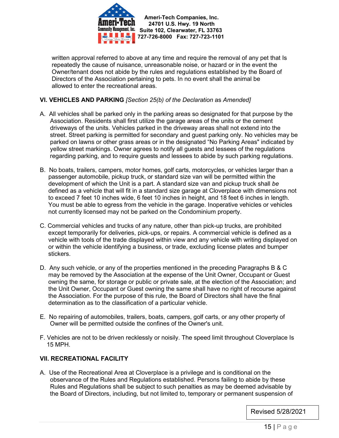

 **Ameri-Tech Companies, Inc. 24701 U.S. Hwy. 19 North Management, Inc.** Suite 102, Clearwater, FL 33763 **727-726-8000 Fax: 727-723-1101**

 written approval referred to above at any time and require the removal of any pet that Is repeatedly the cause of nuisance, unreasonable noise, or hazard or in the event the Owner/tenant does not abide by the rules and regulations established by the Board of Directors of the Association pertaining to pets. In no event shall the animal be allowed to enter the recreational areas.

#### **VI. VEHICLES AND PARKING** *[Section 25(b) of the Declaration* as *Amended]*

- A. All vehicles shall be parked only in the parking areas so designated for that purpose by the Association. Residents shall first utilize the garage areas of the units or the cement driveways of the units. Vehicles parked in the driveway areas shall not extend into the street. Street parking is permitted for secondary and guest parking only. No vehicles may be parked on lawns or other grass areas or in the designated "No Parking Areas" indicated by yellow street markings. Owner agrees to notify all guests and lessees of the regulations regarding parking, and to require guests and lessees to abide by such parking regulations.
- B. No boats, trailers, campers, motor homes, golf carts, motorcycles, or vehicles larger than a passenger automobile, pickup truck, or standard size van will be permitted within the development of which the Unit is a part. A standard size van and pickup truck shall *be* defined as a vehicle that will fit in a standard size garage at Cloverplace with dimensions not to exceed 7 feet 10 inches wide, 6 feet 10 inches in height, and 18 feet 6 inches in length. You must be able to egress from the vehicle in the garage. Inoperative vehicles or vehicles not currently licensed may not be parked on the Condominium property.
- C. Commercial vehicles and trucks of any nature, other than pick-up trucks, are prohibited except temporarily for deliveries, pick-ups, or repairs. A commercial vehicle is defined as a vehicle with tools of the trade displayed within view and any vehicle with writing displayed on or within the vehicle identifying a business, or trade, excluding license plates and bumper stickers.
- D. Any such vehicle, or any of the properties mentioned in the preceding Paragraphs B & C may be removed by the Association at the expense of the Unit Owner, Occupant or Guest owning the same, for storage or public or private sale, at the election of the Association; and the Unit Owner, Occupant or Guest owning the same shall have no right of recourse against the Association. For the purpose of this rule, the Board of Directors shall have the final determination as to the classification of a particular vehicle.
- E. No repairing of automobiles, trailers, boats, campers, golf carts, or any other property of Owner will be permitted outside the confines of the Owner's unit.
- F. Vehicles are not to be driven recklessly or noisily. The speed limit throughout Cloverplace Is 15 MPH.

#### **VII. RECREATIONAL FACILITY**

A. Use of the Recreational Area at Cloverplace is a privilege and is conditional on the observance of the Rules and Regulations established. Persons failing to abide by these Rules and Regulations shall be subject to such penalties as may be deemed advisable by the Board of Directors, including, but not limited to, temporary or permanent suspension of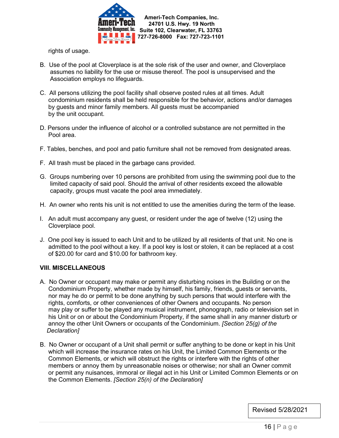

rights of usage.

- B. Use of the pool at Cloverplace is at the sole risk of the user and owner, and Cloverplace assumes no liability for the use or misuse thereof. The pool is unsupervised and the Association employs no lifeguards.
- C. All persons utilizing the pool facility shall observe posted rules at all times. Adult condominium residents shall be held responsible for the behavior, actions and/or damages by guests and minor family members. All guests must be accompanied by the unit occupant.
- D. Persons under the influence of alcohol or a controlled substance are not permitted in the Pool area.
- F. Tables, benches, and pool and patio furniture shall not be removed from designated areas.
- F. All trash must be placed in the garbage cans provided.
- G. Groups numbering over 10 persons are prohibited from using the swimming pool due to the limited capacity of said pool. Should the arrival of other residents exceed the allowable capacity, groups must vacate the pool area immediately.
- H. An owner who rents his unit is not entitled to use the amenities during the term of the lease.
- I. An adult must accompany any guest, or resident under the age of twelve (12) using the Cloverplace pool.
- J. One pool key is issued to each Unit and to be utilized by all residents of that unit. No one is admitted to the pool without a key. If a pool key is lost or stolen, it can be replaced at a cost of \$20.00 for card and \$10.00 for bathroom key.

#### **VIII. MISCELLANEOUS**

- A. No Owner or occupant may make or permit any disturbing noises in the Building or on the Condominium Property, whether made by himself, his family, friends, guests or servants, nor may he do or permit to be done anything by such persons that would interfere with the rights, comforts, or other conveniences of other Owners and occupants. No person may play or suffer to be played any musical instrument, phonograph, radio or television set in his Unit or on or about the Condominium Property, if the same shall in any manner disturb or annoy the other Unit Owners or occupants of the Condominium. *[Section 25(g) of the Declaration]*
- B. No Owner or occupant of a Unit shall permit or suffer anything to be done or kept in his Unit which will increase the insurance rates on his Unit, the Limited Common Elements or the Common Elements, or which will obstruct the rights or interfere with the rights of other members or annoy them by unreasonable noises or otherwise; nor shall an Owner commit or permit any nuisances, immoral or illegal act in his Unit or Limited Common Elements or on the Common Elements. *[Section 25(n) of the Declaration]*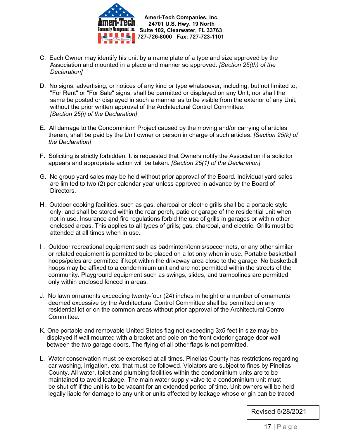

- C. Each Owner may identify his unit by a name plate of a type and size approved by the Association and mounted in a place and manner so approved. *[Section 25(th) of the Declaration]*
- D. No signs, advertising, or notices of any kind or type whatsoever, including, but not limited to, "For Rent" or "For Sale" signs, shall be permitted or displayed on any Unit, nor shall the same be posted or displayed in such a manner as to be visible from the exterior of any Unit, without the prior written approval of the Architectural Control Committee. *[Section 25(i) of the Declaration]*
- E. All damage to the Condominium Project caused by the moving and/or carrying of articles therein, shall be paid by the Unit owner or person in charge of such articles. *[Section 25(k) of the Declaration]*
- F. Soliciting is strictly forbidden. It is requested that Owners notify the Association if a solicitor appears and appropriate action will be taken. *[Section 25(1) of the Declaration]*
- G. No group yard sales may be held without prior approval of the Board. Individual yard sales are limited to two (2) per calendar year unless approved in advance by the Board of Directors.
- H. Outdoor cooking facilities, such as gas, charcoal or electric grills shall be a portable style only, and shall be stored within the rear porch, patio or garage of the residential unit when not in use. Insurance and fire regulations forbid the use of grills in garages or within other enclosed areas. This applies to all types of grills; gas, charcoal, and electric. Grills must be attended at all times when in use.
- I . Outdoor recreational equipment such as badminton/tennis/soccer nets, or any other similar or related equipment is permitted to be placed on a lot only when in use. Portable basketball hoops/poles are permitted if kept within the driveway area close to the garage. No basketball hoops may be affixed to a condominium unit and are not permitted within the streets of the community. Playground equipment such as swings, slides, and trampolines are permitted only within enclosed fenced in areas.
- J. No lawn ornaments exceeding twenty-four (24) inches in height or a number of ornaments deemed excessive by the Architectural Control Committee shall be permitted on any residential lot or on the common areas without prior approval of the Architectural Control Committee.
- K. One portable and removable United States flag not exceeding 3x5 feet in size may be displayed if wall mounted with a bracket and pole on the front exterior garage door wall between the two garage doors. The flying of all other flags is not permitted.
- L. Water conservation must be exercised at all times. Pinellas County has restrictions regarding car washing, irrigation, etc. that must be followed. Violators are subject to fines by Pinellas County. All water, toilet and plumbing facilities within the condominium units are to be maintained to avoid leakage. The main water supply valve to a condominium unit must be shut off if the unit is to be vacant for an extended period of time. Unit owners will be held legally liable for damage to any unit or units affected by leakage whose origin can be traced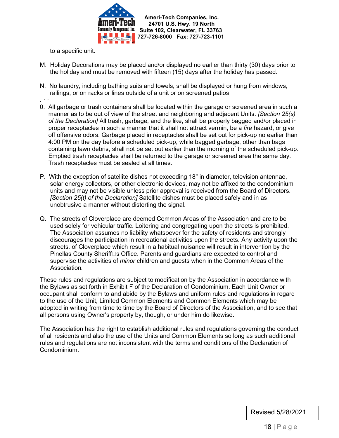

to a specific unit.

- M. Holiday Decorations may be placed and/or displayed no earlier than thirty (30) days prior to the holiday and must be removed with fifteen (15) days after the holiday has passed.
- N. No laundry, including bathing suits and towels, shall be displayed or hung from windows, railings, or on racks or lines outside of a unit or on screened patios
- . · ·
- 0. All garbage or trash containers shall be located within the garage or screened area in such a manner as to be out of view of the street and neighboring and adjacent Units. *[Section 25(s) of the Declaration]* All trash, garbage, and the like, shall be properly bagged and/or placed in proper receptacles in such a manner that it shall not attract vermin, be a *fire* hazard, or give off offensive odors. Garbage placed in receptacles shall be set out for pick-up no earlier than 4:00 PM on the day before a scheduled pick-up, while bagged garbage, other than bags containing lawn debris, shall not be set out earlier than the morning of the scheduled pick-up. Emptied trash receptacles shall be returned to the garage or screened area the same day. Trash receptacles must be sealed at all times.
- P. With the exception of satellite dishes not exceeding 18" in diameter, television antennae, solar energy collectors, or other electronic devices, may not be affixed to the condominium units and may not be visible unless prior approval is received from the Board of Directors. *[Section 25(t) of the Declaration]* Satellite dishes must be placed safely and in as unobtrusive a manner without distorting the signal.
- Q. The streets of Cloverplace are deemed Common Areas of the Association and are to be used solely for vehicular traffic. Loitering and congregating upon the streets is prohibited. The Association assumes no liability whatsoever for the safety of residents and strongly discourages the participation in recreational activities upon the streets. Any activity upon the streets. of Cloverplace which result in a habitual nuisance will result in intervention by the Pinellas County Sheriff $\Box$ s Office. Parents and guardians are expected to control and supervise the activities of *minor* children and guests when in the Common Areas of the Association.

These rules and regulations are subject to modification by the Association in accordance with the Bylaws as set forth in Exhibit F of the Declaration of Condominium. Each Unit Owner or occupant shall conform to and abide by the Bylaws and uniform rules and regulations in regard to the use of the Unit, Limited Common Elements and Common Elements which may be adopted in writing from time to time by the Board of Directors of the Association, and to see that all persons using Owner's property by, though, or under him do likewise.

The Association has the right to establish additional rules and regulations governing the conduct of all residents and also the use of the Units and Common Elements so long as such additional rules and regulations are not inconsistent with the terms and conditions of the Declaration of Condominium.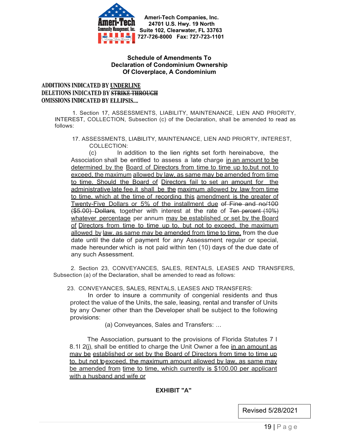

#### **Schedule of Amendments To Declaration of Condominium Ownership Of Cloverplace, A Condominium**

#### ADDITIONS INDICATED BY UNDERLINE **DELETIONS INDICATED BY STRIKE THROUGH OMISSIONS INDICATED BY ELLIPSIS....**

1. Section 17, ASSESSMENTS, LIABILITY, MAINTENANCE, LIEN AND PRIORITY, INTEREST, COLLECTION, Subsection (c) of the Declaration, shall be amended to read as follows:

17. ASSESSMENTS, LIABILITY, MAINTENANCE, LIEN AND PRIORTY, INTEREST, COLLECTION:

(c) In addition to the lien rights set forth hereinabove, the Association shall be entitled to assess a late charge in an amount to be determined by the Board of Directors from time to time up to, but not to exceed, the maximum allowed by law, as same may be amended from time to time. Should the Board of Directors fail to set an amount for the administrative late fee.it shall be the maximum allowed by law from time to time, which at the time of recording this amendment is the greater of Twenty-Five Dollars or 5% of the installment due of Fine and no/100 (\$5.00) Dollars, together with interest at the rate of Ten percent (10%) whatever percentage per annum may be established or set by the Board of Directors from time to time up to, but not to exceed, the maximum allowed by law. as same may be amended from time to time, from the due date until the date of payment for any Assessment, regular or special, made hereunder which is not paid within ten (10) days of the due date of any such Assessment.

2. Section 23, CONVEYANCES, SALES, RENTALS, LEASES AND TRANSFERS, Subsection (a) of the Declaration, shall be amended to read as follows:

23. CONVEYANCES, SALES, RENTALS, LEASES AND TRANSFERS:

In order to insure a community of congenial residents and thus protect the value of the Units, the sale, leasing, rental and transfer of Units by any Owner other than the Developer shall be subject to the following provisions:

(a) Conveyances, Sales and Transfers: ...

The Association, pursuant to the provisions of Florida Statutes 7 l 8.1l 2(i), shall be entitled to charge the Unit Owner a fee in an amount as may be established or set by the Board of Directors from time to time up to, but not toexceed, the maximum amount allowed by law, as same may be amended from time to time, which currently is \$100.00 per applicant with a husband and wife or

#### **EXHIBIT "A"**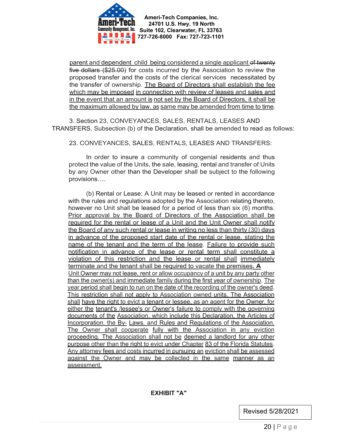

parent and dependent child being considered a single applicant of twenty five dollars (\$25.00) for costs incurred by the Association to review the proposed transfer and the costs of the clerical services necessitated by the transfer of ownership. The Board of Directors shall establish the fee which may be imposed in connection with review of leases and sales and in the event that an amount is not set by the Board of Directors, it shall be the maximum allowed by law. as same may be amended from time to time.

3. Section 23, CONVEYANCES, SALES, RENTALS, LEASES AND TRANSFERS, Subsection (b) of the Declaration, shall be amended to read as follows:

23. CONVEYANCES, SALES, RENTALS, LEASES AND TRANSFERS:

In order to insure a community of congenial residents and thus protect the value of the Units, the sale, leasing, rental and transfer of Units by any Owner other than the Developer shall be subject to the following provisions….

(b) Rental or Lease: A Unit may be leased or rented in accordance with the rules and regulations adopted by the Association relating thereto, however no Unit shall be leased for a period of less than six (6) months. Prior approval by the Board of Directors of the Association shall be required for the rental or lease of a Unit and the Unit Owner shall notify the Board of any such rental or lease in writing no less than thirty (30) days in advance of the proposed start date of the rental or lease. stating the name of the tenant and the term of the lease. Failure to provide such notification in advance of the lease or rental term shall constitute a violation of this restriction and the lease or rental shall immediately terminate and the tenant shall be required to vacate the premises**. A** Unit Owner may not lease, rent or allow occupancy of a unit by any party other than the owner(s) and immediate family during the first year of ownership. The year period shall begin to run on the date of the recording of the owner's deed. This restriction shall not apply to Association owned units. The Association shall have the right to evict a tenant or lessee, as an agent for the Owner, for either the tenant's /lessee's or Owner's failure to comply with the governing documents of the Association. which include this Declaration, the Articles of Incorporation. the By- Laws. and Rules and Regulations of the Association. The Owner shall cooperate fully with the Association in any eviction proceeding. The Association shall not be deemed a landlord for any other purpose other than the right to evict under Chapter 83 of the Florida Statutes. Any attorney fees and costs incurred in pursuing an eviction shall be assessed against the Owner and may be collected in the same manner as an assessment.